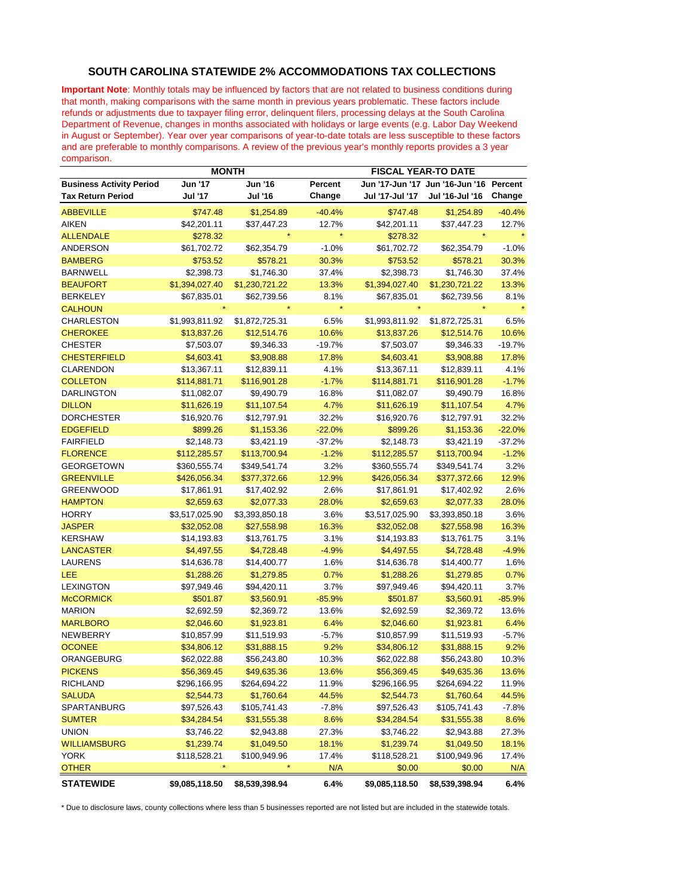## **SOUTH CAROLINA STATEWIDE 2% ACCOMMODATIONS TAX COLLECTIONS**

**Important Note**: Monthly totals may be influenced by factors that are not related to business conditions during that month, making comparisons with the same month in previous years problematic. These factors include refunds or adjustments due to taxpayer filing error, delinquent filers, processing delays at the South Carolina Department of Revenue, changes in months associated with holidays or large events (e.g. Labor Day Weekend in August or September). Year over year comparisons of year-to-date totals are less susceptible to these factors and are preferable to monthly comparisons. A review of the previous year's monthly reports provides a 3 year comparison.

|                                 | <b>MONTH</b>   |                |          | <b>FISCAL YEAR-TO DATE</b> |                                 |            |
|---------------------------------|----------------|----------------|----------|----------------------------|---------------------------------|------------|
| <b>Business Activity Period</b> | <b>Jun '17</b> | Jun '16        | Percent  |                            | Jun '17-Jun '17 Jun '16-Jun '16 | Percent    |
| <b>Tax Return Period</b>        | Jul '17        | <b>Jul '16</b> | Change   | Jul '17-Jul '17            | Jul '16-Jul '16                 | Change     |
| <b>ABBEVILLE</b>                | \$747.48       | \$1,254.89     | $-40.4%$ | \$747.48                   | \$1,254.89                      | $-40.4%$   |
| <b>AIKEN</b>                    | \$42,201.11    | \$37,447.23    | 12.7%    | \$42,201.11                | \$37,447.23                     | 12.7%      |
| <b>ALLENDALE</b>                | \$278.32       |                |          | \$278.32                   |                                 |            |
| <b>ANDERSON</b>                 | \$61,702.72    | \$62,354.79    | $-1.0%$  | \$61,702.72                | \$62,354.79                     | $-1.0%$    |
| <b>BAMBERG</b>                  | \$753.52       | \$578.21       | 30.3%    | \$753.52                   | \$578.21                        | 30.3%      |
| <b>BARNWELL</b>                 | \$2,398.73     | \$1,746.30     | 37.4%    | \$2,398.73                 | \$1,746.30                      | 37.4%      |
| <b>BEAUFORT</b>                 | \$1,394,027.40 | \$1,230,721.22 | 13.3%    | \$1,394,027.40             | \$1,230,721.22                  | 13.3%      |
| <b>BERKELEY</b>                 | \$67,835.01    | \$62,739.56    | 8.1%     | \$67,835.01                | \$62,739.56                     | 8.1%       |
| <b>CALHOUN</b>                  |                |                | $\star$  |                            |                                 |            |
| CHARLESTON                      | \$1,993,811.92 | \$1,872,725.31 | 6.5%     | \$1,993,811.92             | \$1,872,725.31                  | 6.5%       |
| <b>CHEROKEE</b>                 | \$13,837.26    | \$12,514.76    | 10.6%    | \$13,837.26                | \$12,514.76                     | 10.6%      |
| <b>CHESTER</b>                  | \$7,503.07     | \$9,346.33     | $-19.7%$ | \$7,503.07                 | \$9,346.33                      | $-19.7%$   |
| <b>CHESTERFIELD</b>             | \$4,603.41     | \$3,908.88     | 17.8%    | \$4,603.41                 | \$3,908.88                      | 17.8%      |
| <b>CLARENDON</b>                | \$13,367.11    | \$12,839.11    | 4.1%     | \$13,367.11                | \$12,839.11                     | 4.1%       |
| <b>COLLETON</b>                 | \$114,881.71   | \$116,901.28   | $-1.7%$  | \$114,881.71               | \$116,901.28                    | $-1.7%$    |
| <b>DARLINGTON</b>               | \$11,082.07    | \$9,490.79     | 16.8%    | \$11,082.07                | \$9,490.79                      | 16.8%      |
| <b>DILLON</b>                   | \$11,626.19    | \$11,107.54    | 4.7%     | \$11,626.19                | \$11,107.54                     | 4.7%       |
| <b>DORCHESTER</b>               | \$16,920.76    | \$12,797.91    | 32.2%    | \$16,920.76                | \$12,797.91                     | 32.2%      |
| <b>EDGEFIELD</b>                | \$899.26       | \$1,153.36     | $-22.0%$ | \$899.26                   | \$1,153.36                      | $-22.0%$   |
| <b>FAIRFIELD</b>                | \$2,148.73     | \$3,421.19     | $-37.2%$ | \$2,148.73                 | \$3,421.19                      | $-37.2%$   |
| <b>FLORENCE</b>                 | \$112,285.57   | \$113,700.94   | $-1.2%$  | \$112,285.57               | \$113,700.94                    | $-1.2%$    |
| <b>GEORGETOWN</b>               | \$360,555.74   | \$349,541.74   | 3.2%     | \$360,555.74               | \$349,541.74                    | 3.2%       |
| <b>GREENVILLE</b>               | \$426,056.34   | \$377,372.66   | 12.9%    | \$426,056.34               | \$377,372.66                    | 12.9%      |
| <b>GREENWOOD</b>                | \$17,861.91    | \$17,402.92    | 2.6%     | \$17,861.91                | \$17,402.92                     | 2.6%       |
| <b>HAMPTON</b>                  | \$2,659.63     | \$2,077.33     | 28.0%    | \$2,659.63                 | \$2,077.33                      | 28.0%      |
| <b>HORRY</b>                    | \$3,517,025.90 | \$3,393,850.18 | 3.6%     | \$3,517,025.90             | \$3,393,850.18                  | 3.6%       |
| <b>JASPER</b>                   | \$32,052.08    | \$27,558.98    | 16.3%    | \$32,052.08                | \$27,558.98                     | 16.3%      |
| <b>KERSHAW</b>                  | \$14,193.83    | \$13,761.75    | 3.1%     | \$14,193.83                | \$13,761.75                     | 3.1%       |
| <b>LANCASTER</b>                | \$4,497.55     | \$4,728.48     | $-4.9%$  | \$4,497.55                 | \$4,728.48                      | $-4.9%$    |
| LAURENS                         | \$14,636.78    | \$14,400.77    | 1.6%     | \$14,636.78                | \$14,400.77                     | 1.6%       |
| LEE                             | \$1,288.26     | \$1,279.85     | 0.7%     | \$1,288.26                 | \$1,279.85                      | 0.7%       |
| <b>LEXINGTON</b>                | \$97,949.46    | \$94,420.11    | 3.7%     | \$97,949.46                | \$94,420.11                     | 3.7%       |
| <b>McCORMICK</b>                | \$501.87       | \$3,560.91     | $-85.9%$ | \$501.87                   | \$3,560.91                      | $-85.9%$   |
| <b>MARION</b>                   | \$2,692.59     | \$2,369.72     | 13.6%    | \$2,692.59                 | \$2,369.72                      | 13.6%      |
| <b>MARLBORO</b>                 | \$2,046.60     | \$1,923.81     | 6.4%     | \$2,046.60                 | \$1,923.81                      | 6.4%       |
| NEWBERRY                        | \$10,857.99    | \$11,519.93    | $-5.7%$  | \$10,857.99                | \$11,519.93                     | $-5.7%$    |
| <b>OCONEE</b>                   | \$34,806.12    | \$31,888.15    | 9.2%     | \$34,806.12                | \$31,888.15                     | 9.2%       |
| ORANGEBURG                      | \$62,022.88    | \$56,243.80    | 10.3%    | \$62,022.88                | \$56,243.80                     | 10.3%      |
| <b>PICKENS</b>                  | \$56,369.45    | \$49,635.36    | 13.6%    | \$56,369.45                | \$49,635.36                     | 13.6%      |
| <b>RICHLAND</b>                 | \$296,166.95   | \$264,694.22   | 11.9%    | \$296,166.95               | \$264,694.22                    | 11.9%      |
| <b>SALUDA</b>                   | \$2,544.73     | \$1,760.64     | 44.5%    | \$2,544.73                 | \$1,760.64                      | 44.5%      |
| SPARTANBURG                     | \$97,526.43    | \$105,741.43   | $-7.8%$  | \$97,526.43                | \$105,741.43                    | $-7.8%$    |
| <b>SUMTER</b>                   | \$34,284.54    | \$31,555.38    | 8.6%     | \$34,284.54                | \$31,555.38                     | 8.6%       |
| <b>UNION</b>                    | \$3,746.22     | \$2,943.88     | 27.3%    | \$3,746.22                 | \$2,943.88                      | 27.3%      |
| <b>WILLIAMSBURG</b>             | \$1,239.74     | \$1,049.50     | 18.1%    | \$1,239.74                 | \$1,049.50                      | 18.1%      |
| <b>YORK</b>                     | \$118,528.21   | \$100,949.96   | 17.4%    | \$118,528.21               | \$100,949.96                    | 17.4%      |
| <b>OTHER</b>                    | $\star$        |                | N/A      | \$0.00                     | \$0.00                          | <u>N/A</u> |
| <b>STATEWIDE</b>                | \$9,085,118.50 | \$8,539,398.94 | 6.4%     | \$9,085,118.50             | \$8,539,398.94                  | 6.4%       |

\* Due to disclosure laws, county collections where less than 5 businesses reported are not listed but are included in the statewide totals.